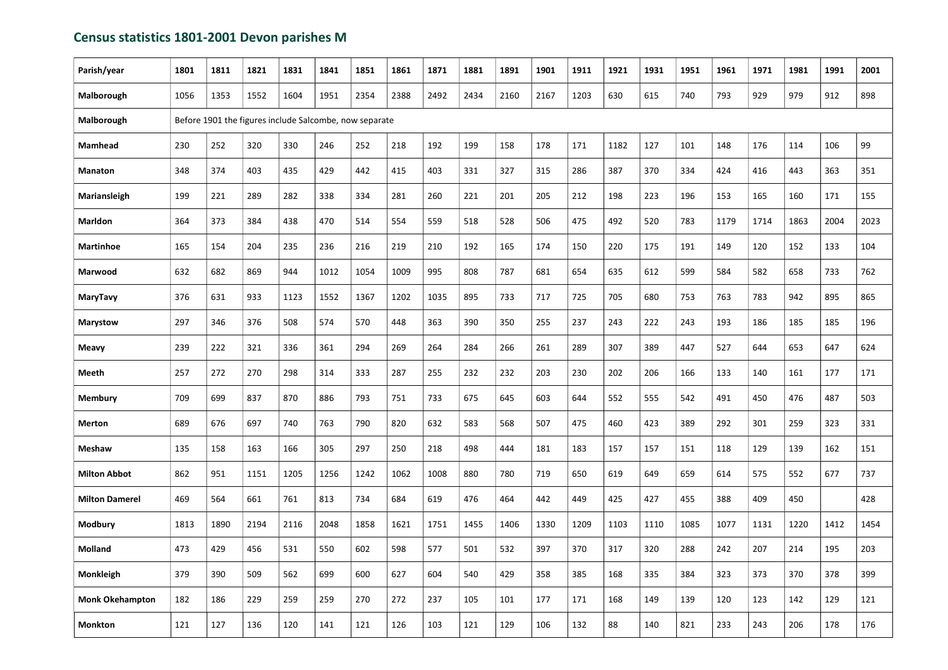## Census statistics 1801-2001 Devon parishes M

| Parish/year            | 1801 | 1811                                                   | 1821 | 1831 | 1841 | 1851 | 1861 | 1871 | 1881 | 1891 | 1901 | 1911 | 1921 | 1931 | 1951 | 1961 | 1971 | 1981 | 1991 | 2001 |
|------------------------|------|--------------------------------------------------------|------|------|------|------|------|------|------|------|------|------|------|------|------|------|------|------|------|------|
| Malborough             | 1056 | 1353                                                   | 1552 | 1604 | 1951 | 2354 | 2388 | 2492 | 2434 | 2160 | 2167 | 1203 | 630  | 615  | 740  | 793  | 929  | 979  | 912  | 898  |
| Malborough             |      | Before 1901 the figures include Salcombe, now separate |      |      |      |      |      |      |      |      |      |      |      |      |      |      |      |      |      |      |
| <b>Mamhead</b>         | 230  | 252                                                    | 320  | 330  | 246  | 252  | 218  | 192  | 199  | 158  | 178  | 171  | 1182 | 127  | 101  | 148  | 176  | 114  | 106  | 99   |
| <b>Manaton</b>         | 348  | 374                                                    | 403  | 435  | 429  | 442  | 415  | 403  | 331  | 327  | 315  | 286  | 387  | 370  | 334  | 424  | 416  | 443  | 363  | 351  |
| Mariansleigh           | 199  | 221                                                    | 289  | 282  | 338  | 334  | 281  | 260  | 221  | 201  | 205  | 212  | 198  | 223  | 196  | 153  | 165  | 160  | 171  | 155  |
| <b>Marldon</b>         | 364  | 373                                                    | 384  | 438  | 470  | 514  | 554  | 559  | 518  | 528  | 506  | 475  | 492  | 520  | 783  | 1179 | 1714 | 1863 | 2004 | 2023 |
| <b>Martinhoe</b>       | 165  | 154                                                    | 204  | 235  | 236  | 216  | 219  | 210  | 192  | 165  | 174  | 150  | 220  | 175  | 191  | 149  | 120  | 152  | 133  | 104  |
| Marwood                | 632  | 682                                                    | 869  | 944  | 1012 | 1054 | 1009 | 995  | 808  | 787  | 681  | 654  | 635  | 612  | 599  | 584  | 582  | 658  | 733  | 762  |
| <b>MaryTavy</b>        | 376  | 631                                                    | 933  | 1123 | 1552 | 1367 | 1202 | 1035 | 895  | 733  | 717  | 725  | 705  | 680  | 753  | 763  | 783  | 942  | 895  | 865  |
| <b>Marystow</b>        | 297  | 346                                                    | 376  | 508  | 574  | 570  | 448  | 363  | 390  | 350  | 255  | 237  | 243  | 222  | 243  | 193  | 186  | 185  | 185  | 196  |
| <b>Meavy</b>           | 239  | 222                                                    | 321  | 336  | 361  | 294  | 269  | 264  | 284  | 266  | 261  | 289  | 307  | 389  | 447  | 527  | 644  | 653  | 647  | 624  |
| <b>Meeth</b>           | 257  | 272                                                    | 270  | 298  | 314  | 333  | 287  | 255  | 232  | 232  | 203  | 230  | 202  | 206  | 166  | 133  | 140  | 161  | 177  | 171  |
| <b>Membury</b>         | 709  | 699                                                    | 837  | 870  | 886  | 793  | 751  | 733  | 675  | 645  | 603  | 644  | 552  | 555  | 542  | 491  | 450  | 476  | 487  | 503  |
| <b>Merton</b>          | 689  | 676                                                    | 697  | 740  | 763  | 790  | 820  | 632  | 583  | 568  | 507  | 475  | 460  | 423  | 389  | 292  | 301  | 259  | 323  | 331  |
| <b>Meshaw</b>          | 135  | 158                                                    | 163  | 166  | 305  | 297  | 250  | 218  | 498  | 444  | 181  | 183  | 157  | 157  | 151  | 118  | 129  | 139  | 162  | 151  |
| <b>Milton Abbot</b>    | 862  | 951                                                    | 1151 | 1205 | 1256 | 1242 | 1062 | 1008 | 880  | 780  | 719  | 650  | 619  | 649  | 659  | 614  | 575  | 552  | 677  | 737  |
| <b>Milton Damerel</b>  | 469  | 564                                                    | 661  | 761  | 813  | 734  | 684  | 619  | 476  | 464  | 442  | 449  | 425  | 427  | 455  | 388  | 409  | 450  |      | 428  |
| <b>Modbury</b>         | 1813 | 1890                                                   | 2194 | 2116 | 2048 | 1858 | 1621 | 1751 | 1455 | 1406 | 1330 | 1209 | 1103 | 1110 | 1085 | 1077 | 1131 | 1220 | 1412 | 1454 |
| <b>Molland</b>         | 473  | 429                                                    | 456  | 531  | 550  | 602  | 598  | 577  | 501  | 532  | 397  | 370  | 317  | 320  | 288  | 242  | 207  | 214  | 195  | 203  |
| <b>Monkleigh</b>       | 379  | 390                                                    | 509  | 562  | 699  | 600  | 627  | 604  | 540  | 429  | 358  | 385  | 168  | 335  | 384  | 323  | 373  | 370  | 378  | 399  |
| <b>Monk Okehampton</b> | 182  | 186                                                    | 229  | 259  | 259  | 270  | 272  | 237  | 105  | 101  | 177  | 171  | 168  | 149  | 139  | 120  | 123  | 142  | 129  | 121  |
| <b>Monkton</b>         | 121  | 127                                                    | 136  | 120  | 141  | 121  | 126  | 103  | 121  | 129  | 106  | 132  | 88   | 140  | 821  | 233  | 243  | 206  | 178  | 176  |